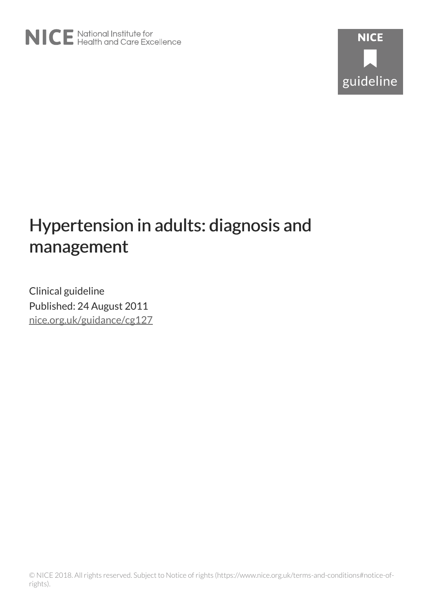# Hypertension in adults: diagnosis and management

Clinical guideline Published: 24 August 2011 [nice.org.uk/guidance/cg127](http://nice.org.uk/guidance/cg127)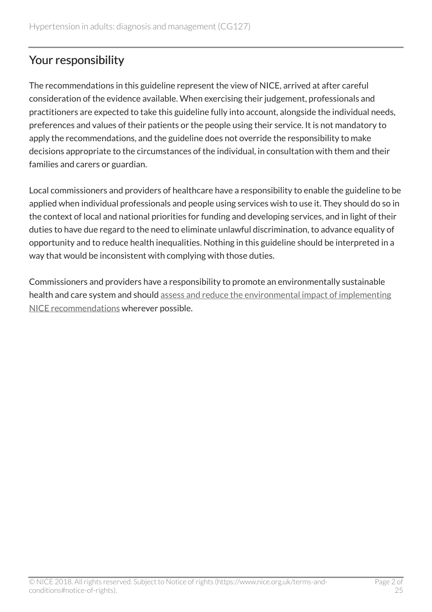# Your responsibility

The recommendations in this guideline represent the view of NICE, arrived at after careful consideration of the evidence available. When exercising their judgement, professionals and practitioners are expected to take this guideline fully into account, alongside the individual needs, preferences and values of their patients or the people using their service. It is not mandatory to apply the recommendations, and the guideline does not override the responsibility to make decisions appropriate to the circumstances of the individual, in consultation with them and their families and carers or guardian.

Local commissioners and providers of healthcare have a responsibility to enable the guideline to be applied when individual professionals and people using services wish to use it. They should do so in the context of local and national priorities for funding and developing services, and in light of their duties to have due regard to the need to eliminate unlawful discrimination, to advance equality of opportunity and to reduce health inequalities. Nothing in this guideline should be interpreted in a way that would be inconsistent with complying with those duties.

Commissioners and providers have a responsibility to promote an environmentally sustainable health and care system and should [assess and reduce the environmental impact of implementing](https://www.nice.org.uk/about/who-we-are/sustainability) [NICE recommendations](https://www.nice.org.uk/about/who-we-are/sustainability) wherever possible.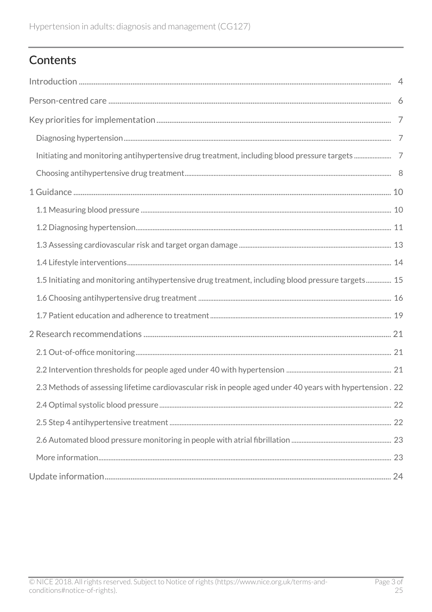# Contents

| 1.5 Initiating and monitoring antihypertensive drug treatment, including blood pressure targets 15        |  |
|-----------------------------------------------------------------------------------------------------------|--|
|                                                                                                           |  |
|                                                                                                           |  |
|                                                                                                           |  |
|                                                                                                           |  |
|                                                                                                           |  |
| 2.3 Methods of assessing lifetime cardiovascular risk in people aged under 40 years with hypertension. 22 |  |
|                                                                                                           |  |
|                                                                                                           |  |
|                                                                                                           |  |
|                                                                                                           |  |
|                                                                                                           |  |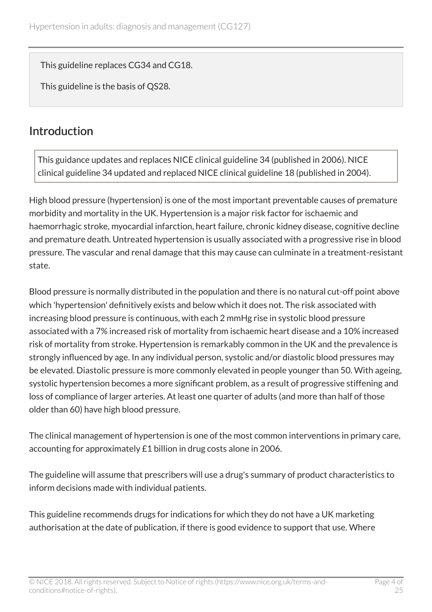This guideline replaces CG34 and CG18.

This guideline is the basis of QS28.

# <span id="page-3-0"></span>**Introduction**

This guidance updates and replaces NICE clinical guideline 34 (published in 2006). NICE clinical guideline 34 updated and replaced NICE clinical guideline 18 (published in 2004).

High blood pressure (hypertension) is one of the most important preventable causes of premature morbidity and mortality in the UK. Hypertension is a major risk factor for ischaemic and haemorrhagic stroke, myocardial infarction, heart failure, chronic kidney disease, cognitive decline and premature death. Untreated hypertension is usually associated with a progressive rise in blood pressure. The vascular and renal damage that this may cause can culminate in a treatment-resistant state.

Blood pressure is normally distributed in the population and there is no natural cut-off point above which 'hypertension' definitively exists and below which it does not. The risk associated with increasing blood pressure is continuous, with each 2 mmHg rise in systolic blood pressure associated with a 7% increased risk of mortality from ischaemic heart disease and a 10% increased risk of mortality from stroke. Hypertension is remarkably common in the UK and the prevalence is strongly influenced by age. In any individual person, systolic and/or diastolic blood pressures may be elevated. Diastolic pressure is more commonly elevated in people younger than 50. With ageing, systolic hypertension becomes a more significant problem, as a result of progressive stiffening and loss of compliance of larger arteries. At least one quarter of adults (and more than half of those older than 60) have high blood pressure.

The clinical management of hypertension is one of the most common interventions in primary care, accounting for approximately £1 billion in drug costs alone in 2006.

The guideline will assume that prescribers will use a drug's summary of product characteristics to inform decisions made with individual patients.

This guideline recommends drugs for indications for which they do not have a UK marketing authorisation at the date of publication, if there is good evidence to support that use. Where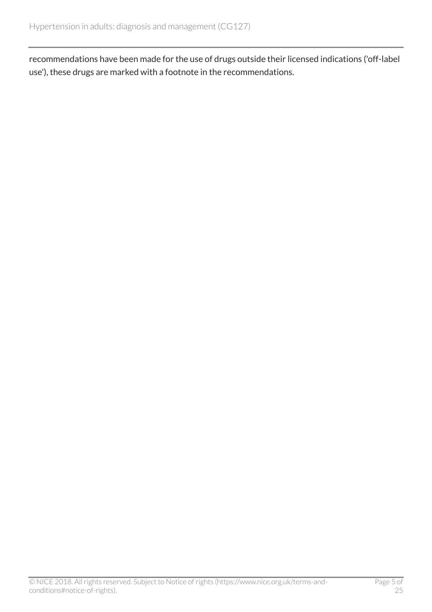recommendations have been made for the use of drugs outside their licensed indications ('off-label use'), these drugs are marked with a footnote in the recommendations.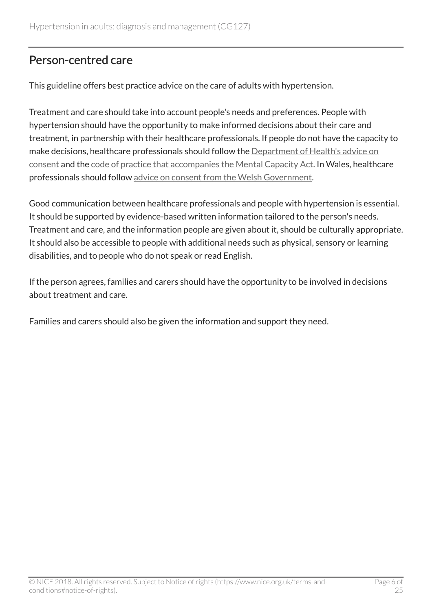# <span id="page-5-0"></span>Person-centred care

This guideline offers best practice advice on the care of adults with hypertension.

Treatment and care should take into account people's needs and preferences. People with hypertension should have the opportunity to make informed decisions about their care and treatment, in partnership with their healthcare professionals. If people do not have the capacity to make decisions, healthcare professionals should follow the [Department of Health's advice on](http://www.dh.gov.uk/en/DH_103643) [consent](http://www.dh.gov.uk/en/DH_103643) and the [code of practice that accompanies the Mental Capacity Act](http://www.dh.gov.uk/en/SocialCare/Deliveringsocialcare/MentalCapacity/index.htm). In Wales, healthcare professionals should follow [advice on consent from the Welsh Government.](http://www.wales.nhs.uk/consent)

Good communication between healthcare professionals and people with hypertension is essential. It should be supported by evidence-based written information tailored to the person's needs. Treatment and care, and the information people are given about it, should be culturally appropriate. It should also be accessible to people with additional needs such as physical, sensory or learning disabilities, and to people who do not speak or read English.

If the person agrees, families and carers should have the opportunity to be involved in decisions about treatment and care.

Families and carers should also be given the information and support they need.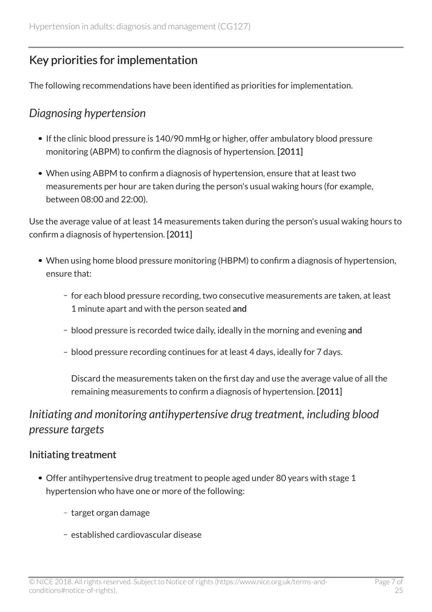# <span id="page-6-0"></span>Key priorities for implementation

The following recommendations have been identified as priorities for implementation.

### <span id="page-6-1"></span>*Diagnosing hypertension*

- If the clinic blood pressure is 140/90 mmHg or higher, offer ambulatory blood pressure monitoring (ABPM) to confirm the diagnosis of hypertension. [2011]
- When using ABPM to confirm a diagnosis of hypertension, ensure that at least two measurements per hour are taken during the person's usual waking hours (for example, between 08:00 and 22:00).

Use the average value of at least 14 measurements taken during the person's usual waking hours to confirm a diagnosis of hypertension. [2011]

- When using home blood pressure monitoring (HBPM) to confirm a diagnosis of hypertension, ensure that:
	- for each blood pressure recording, two consecutive measurements are taken, at least 1 minute apart and with the person seated and
	- blood pressure is recorded twice daily, ideally in the morning and evening and
	- blood pressure recording continues for at least 4 days, ideally for 7 days.

Discard the measurements taken on the first day and use the average value of all the remaining measurements to confirm a diagnosis of hypertension. [2011]

# <span id="page-6-2"></span>*Initiating and monitoring antihypertensive drug treatment, including blood pressure targets*

#### Initiating treatment

- Offer antihypertensive drug treatment to people aged under 80 years with stage 1 hypertension who have one or more of the following:
	- target organ damage
	- established cardiovascular disease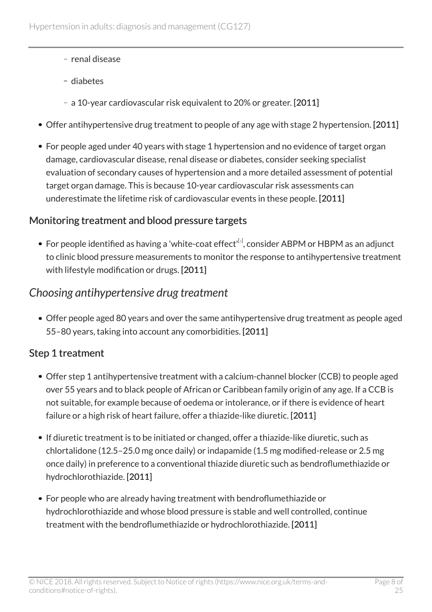- renal disease
- diabetes
- a 10-year cardiovascular risk equivalent to 20% or greater. [2011]
- Offer antihypertensive drug treatment to people of any age with stage 2 hypertension. [2011]
- For people aged under 40 years with stage 1 hypertension and no evidence of target organ damage, cardiovascular disease, renal disease or diabetes, consider seeking specialist evaluation of secondary causes of hypertension and a more detailed assessment of potential target organ damage. This is because 10-year cardiovascular risk assessments can underestimate the lifetime risk of cardiovascular events in these people. [2011]

#### <span id="page-7-1"></span>Monitoring treatment and blood pressure targets

For people identified as having a 'white-coat effect' $^{\lceil 1 \rceil}$  $^{\lceil 1 \rceil}$  $^{\lceil 1 \rceil}$ , consider ABPM or HBPM as an adjunct to clinic blood pressure measurements to monitor the response to antihypertensive treatment with lifestyle modification or drugs. [2011]

#### <span id="page-7-0"></span>*Choosing antihypertensive drug treatment*

Offer people aged 80 years and over the same antihypertensive drug treatment as people aged 55–80 years, taking into account any comorbidities. [2011]

#### Step 1 treatment

- Offer step 1 antihypertensive treatment with a calcium-channel blocker (CCB) to people aged over 55 years and to black people of African or Caribbean family origin of any age. If a CCB is not suitable, for example because of oedema or intolerance, or if there is evidence of heart failure or a high risk of heart failure, offer a thiazide-like diuretic. [2011]
- If diuretic treatment is to be initiated or changed, offer a thiazide-like diuretic, such as chlortalidone (12.5–25.0 mg once daily) or indapamide (1.5 mg modified-release or 2.5 mg once daily) in preference to a conventional thiazide diuretic such as bendroflumethiazide or hydrochlorothiazide. [2011]
- For people who are already having treatment with bendroflumethiazide or hydrochlorothiazide and whose blood pressure is stable and well controlled, continue treatment with the bendroflumethiazide or hydrochlorothiazide. [2011]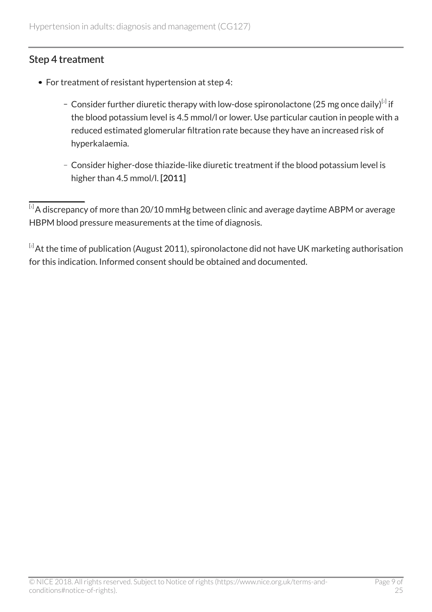#### Step 4 treatment

- <span id="page-8-2"></span>• For treatment of resistant hypertension at step 4:
	- Consider further diuretic therapy with low-dose spironolactone ([2](#page-8-1)5 mg once daily) $^{[z]}$  if the blood potassium level is 4.5 mmol/l or lower. Use particular caution in people with a reduced estimated glomerular filtration rate because they have an increased risk of hyperkalaemia.
	- Consider higher-dose thiazide-like diuretic treatment if the blood potassium level is higher than 4.5 mmol/l. [2011]

<span id="page-8-0"></span> $\overline{^{[1]}}$  $\overline{^{[1]}}$  $\overline{^{[1]}}$ A discrepancy of more than 20/10 mmHg between clinic and average daytime ABPM or average HBPM blood pressure measurements at the time of diagnosis.

<span id="page-8-1"></span> $[2]$  $[2]$  $[2]$ At the time of publication (August 2011), spironolactone did not have UK marketing authorisation for this indication. Informed consent should be obtained and documented.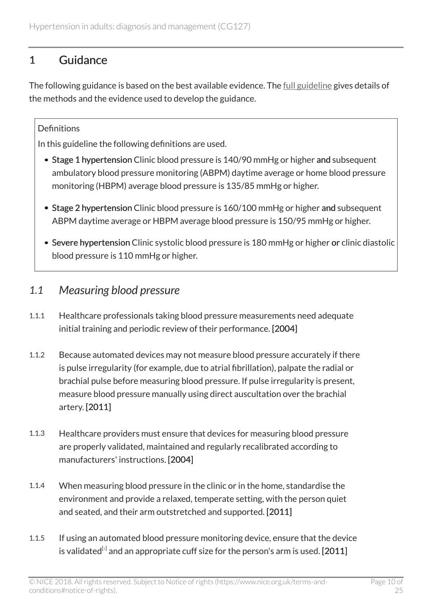# <span id="page-9-0"></span>1 Guidance

The following guidance is based on the best available evidence. The [full guideline](https://www.nice.org.uk/guidance/cg127/evidence) gives details of the methods and the evidence used to develop the guidance.

#### **Definitions**

In this guideline the following definitions are used.

- Stage 1 hypertension Clinic blood pressure is 140/90 mmHg or higher and subsequent ambulatory blood pressure monitoring (ABPM) daytime average or home blood pressure monitoring (HBPM) average blood pressure is 135/85 mmHg or higher.
- Stage 2 hypertension Clinic blood pressure is 160/100 mmHg or higher and subsequent ABPM daytime average or HBPM average blood pressure is 150/95 mmHg or higher.
- Severe hypertension Clinic systolic blood pressure is 180 mmHg or higher or clinic diastolic blood pressure is 110 mmHg or higher.

### <span id="page-9-1"></span>*1.1 Measuring blood pressure*

- 1.1.1 Healthcare professionals taking blood pressure measurements need adequate initial training and periodic review of their performance. [2004]
- 1.1.2 Because automated devices may not measure blood pressure accurately if there is pulse irregularity (for example, due to atrial fibrillation), palpate the radial or brachial pulse before measuring blood pressure. If pulse irregularity is present, measure blood pressure manually using direct auscultation over the brachial artery. [2011]
- 1.1.3 Healthcare providers must ensure that devices for measuring blood pressure are properly validated, maintained and regularly recalibrated according to manufacturers' instructions. [2004]
- 1.1.4 When measuring blood pressure in the clinic or in the home, standardise the environment and provide a relaxed, temperate setting, with the person quiet and seated, and their arm outstretched and supported. [2011]
- <span id="page-9-2"></span>1.1.5 If using an automated blood pressure monitoring device, ensure that the device is validated $^{\text{\tiny{[s]}}}$  and an appropriate cuff size for the person's arm is used. [2011]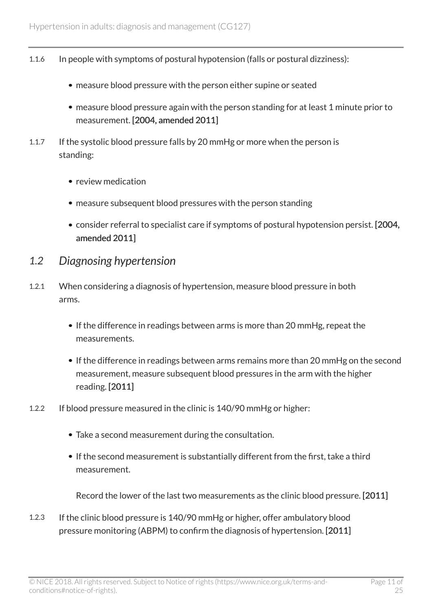- 1.1.6 In people with symptoms of postural hypotension (falls or postural dizziness):
	- measure blood pressure with the person either supine or seated
	- measure blood pressure again with the person standing for at least 1 minute prior to measurement. [2004, amended 2011]
- 1.1.7 If the systolic blood pressure falls by 20 mmHg or more when the person is standing:
	- review medication
	- measure subsequent blood pressures with the person standing
	- consider referral to specialist care if symptoms of postural hypotension persist. [2004, amended 2011]
- <span id="page-10-0"></span>*1.2 Diagnosing hypertension*
- 1.2.1 When considering a diagnosis of hypertension, measure blood pressure in both arms.
	- If the difference in readings between arms is more than 20 mmHg, repeat the measurements.
	- If the difference in readings between arms remains more than 20 mmHg on the second measurement, measure subsequent blood pressures in the arm with the higher reading. [2011]
- 1.2.2 If blood pressure measured in the clinic is 140/90 mmHg or higher:
	- Take a second measurement during the consultation.
	- If the second measurement is substantially different from the first, take a third measurement.

Record the lower of the last two measurements as the clinic blood pressure. [2011]

1.2.3 If the clinic blood pressure is 140/90 mmHg or higher, offer ambulatory blood pressure monitoring (ABPM) to confirm the diagnosis of hypertension. [2011]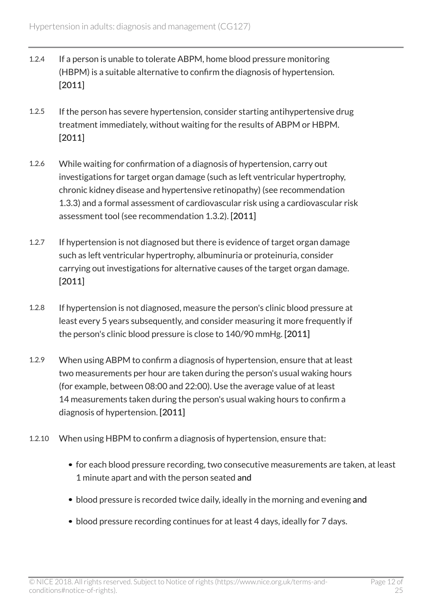- 1.2.4 If a person is unable to tolerate ABPM, home blood pressure monitoring (HBPM) is a suitable alternative to confirm the diagnosis of hypertension. [2011]
- 1.2.5 If the person has severe hypertension, consider starting antihypertensive drug treatment immediately, without waiting for the results of ABPM or HBPM. [2011]
- 1.2.6 While waiting for confirmation of a diagnosis of hypertension, carry out investigations for target organ damage (such as left ventricular hypertrophy, chronic kidney disease and hypertensive retinopathy) (see recommendation 1.3.3) and a formal assessment of cardiovascular risk using a cardiovascular risk assessment tool (see recommendation 1.3.2). [2011]
- 1.2.7 If hypertension is not diagnosed but there is evidence of target organ damage such as left ventricular hypertrophy, albuminuria or proteinuria, consider carrying out investigations for alternative causes of the target organ damage. [2011]
- 1.2.8 If hypertension is not diagnosed, measure the person's clinic blood pressure at least every 5 years subsequently, and consider measuring it more frequently if the person's clinic blood pressure is close to 140/90 mmHg. [2011]
- 1.2.9 When using ABPM to confirm a diagnosis of hypertension, ensure that at least two measurements per hour are taken during the person's usual waking hours (for example, between 08:00 and 22:00). Use the average value of at least 14 measurements taken during the person's usual waking hours to confirm a diagnosis of hypertension. [2011]
- 1.2.10 When using HBPM to confirm a diagnosis of hypertension, ensure that:
	- for each blood pressure recording, two consecutive measurements are taken, at least 1 minute apart and with the person seated and
	- blood pressure is recorded twice daily, ideally in the morning and evening and
	- blood pressure recording continues for at least 4 days, ideally for 7 days.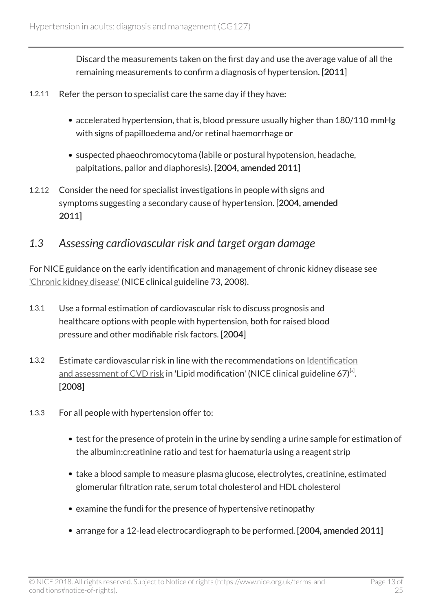Discard the measurements taken on the first day and use the average value of all the remaining measurements to confirm a diagnosis of hypertension. [2011]

- 1.2.11 Refer the person to specialist care the same day if they have:
	- accelerated hypertension, that is, blood pressure usually higher than 180/110 mmHg with signs of papilloedema and/or retinal haemorrhage or
	- suspected phaeochromocytoma (labile or postural hypotension, headache, palpitations, pallor and diaphoresis). [2004, amended 2011]
- 1.2.12 Consider the need for specialist investigations in people with signs and symptoms suggesting a secondary cause of hypertension. [2004, amended 2011]

### <span id="page-12-0"></span>*1.3 Assessing cardiovascular risk and target organ damage*

For NICE guidance on the early identification and management of chronic kidney disease see ['Chronic kidney disease'](http://www.nice.org.uk/proxy/?sourceUrl=http%3a%2f%2fguidance.nice.org.uk%2fCG73%2fNICEGuidance%2fdoc%2fEnglish) (NICE clinical guideline 73, 2008).

- 1.3.1 Use a formal estimation of cardiovascular risk to discuss prognosis and healthcare options with people with hypertension, both for raised blood pressure and other modifiable risk factors. [2004]
- <span id="page-12-1"></span>1.3.2 Estimate cardiovascular risk in line with the recommendations on [Identification](http://www.nice.org.uk/guidance/cg67/chapter/section_1_1) <u>[and assessment of CVD risk](http://www.nice.org.uk/guidance/cg67/chapter/section_1_1)</u> in 'Lipid modification' (NICE clinical guideline 67) $^{\lbrack\! \lbrack\! \lbrack}$  . [2008]
- 1.3.3 For all people with hypertension offer to:
	- test for the presence of protein in the urine by sending a urine sample for estimation of the albumin:creatinine ratio and test for haematuria using a reagent strip
	- take a blood sample to measure plasma glucose, electrolytes, creatinine, estimated glomerular filtration rate, serum total cholesterol and HDL cholesterol
	- examine the fundi for the presence of hypertensive retinopathy
	- arrange for a 12-lead electrocardiograph to be performed. [2004, amended 2011]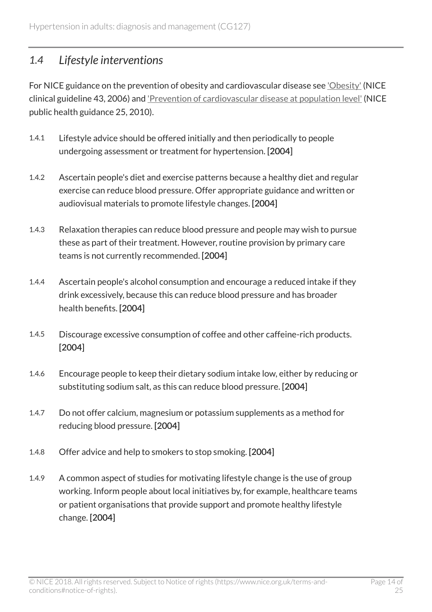### <span id="page-13-0"></span>*1.4 Lifestyle interventions*

For NICE guidance on the prevention of obesity and cardiovascular disease see ['Obesity'](http://www.nice.org.uk/guidance/cg43) (NICE clinical guideline 43, 2006) and ['Prevention of cardiovascular disease at population level'](http://www.nice.org.uk/guidance/ph25) (NICE public health guidance 25, 2010).

- 1.4.1 Lifestyle advice should be offered initially and then periodically to people undergoing assessment or treatment for hypertension. [2004]
- 1.4.2 Ascertain people's diet and exercise patterns because a healthy diet and regular exercise can reduce blood pressure. Offer appropriate guidance and written or audiovisual materials to promote lifestyle changes. [2004]
- 1.4.3 Relaxation therapies can reduce blood pressure and people may wish to pursue these as part of their treatment. However, routine provision by primary care teams is not currently recommended. [2004]
- 1.4.4 Ascertain people's alcohol consumption and encourage a reduced intake if they drink excessively, because this can reduce blood pressure and has broader health benefits. [2004]
- 1.4.5 Discourage excessive consumption of coffee and other caffeine-rich products. [2004]
- 1.4.6 Encourage people to keep their dietary sodium intake low, either by reducing or substituting sodium salt, as this can reduce blood pressure. [2004]
- 1.4.7 Do not offer calcium, magnesium or potassium supplements as a method for reducing blood pressure. [2004]
- 1.4.8 Offer advice and help to smokers to stop smoking. [2004]
- 1.4.9 A common aspect of studies for motivating lifestyle change is the use of group working. Inform people about local initiatives by, for example, healthcare teams or patient organisations that provide support and promote healthy lifestyle change. [2004]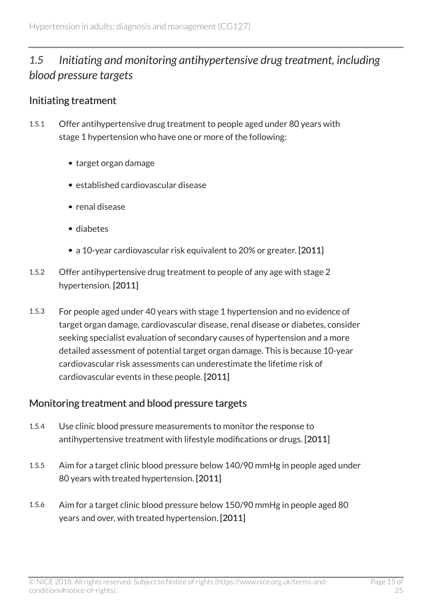# <span id="page-14-0"></span>*1.5 Initiating and monitoring antihypertensive drug treatment, including blood pressure targets*

#### Initiating treatment

- 1.5.1 Offer antihypertensive drug treatment to people aged under 80 years with stage 1 hypertension who have one or more of the following:
	- target organ damage
	- established cardiovascular disease
	- renal disease
	- diabetes
	- a 10-year cardiovascular risk equivalent to 20% or greater. [2011]
- 1.5.2 Offer antihypertensive drug treatment to people of any age with stage 2 hypertension. [2011]
- 1.5.3 For people aged under 40 years with stage 1 hypertension and no evidence of target organ damage, cardiovascular disease, renal disease or diabetes, consider seeking specialist evaluation of secondary causes of hypertension and a more detailed assessment of potential target organ damage. This is because 10-year cardiovascular risk assessments can underestimate the lifetime risk of cardiovascular events in these people. [2011]

#### Monitoring treatment and blood pressure targets

- 1.5.4 Use clinic blood pressure measurements to monitor the response to antihypertensive treatment with lifestyle modifications or drugs. [2011]
- 1.5.5 Aim for a target clinic blood pressure below 140/90 mmHg in people aged under 80 years with treated hypertension. [2011]
- 1.5.6 Aim for a target clinic blood pressure below 150/90 mmHg in people aged 80 years and over, with treated hypertension. [2011]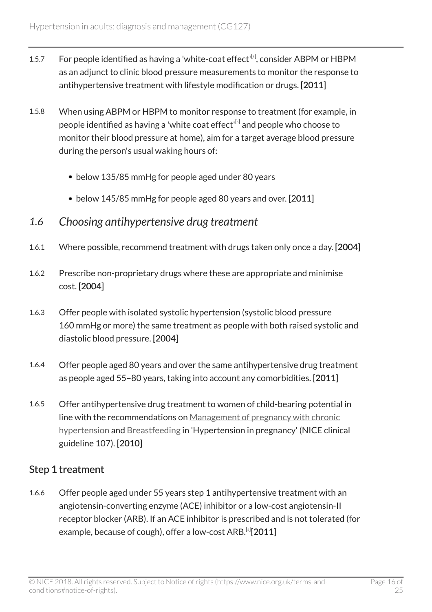- <span id="page-15-1"></span>1.[5](#page-19-0).7 For people identified as having a 'white-coat effect' $^{[s]}$ , consider ABPM or HBPM as an adjunct to clinic blood pressure measurements to monitor the response to antihypertensive treatment with lifestyle modification or drugs. [2011]
- 1.5.8 When using ABPM or HBPM to monitor response to treatment (for example, in people identified as having a 'white coat effect'<sup>[[5](#page-19-0)]</sup> and people who choose to monitor their blood pressure at home), aim for a target average blood pressure during the person's usual waking hours of:
	- below 135/85 mmHg for people aged under 80 years
	- below 145/85 mmHg for people aged 80 years and over. [2011]
- <span id="page-15-0"></span>*1.6 Choosing antihypertensive drug treatment*
- 1.6.1 Where possible, recommend treatment with drugs taken only once a day. [2004]
- 1.6.2 Prescribe non-proprietary drugs where these are appropriate and minimise cost. [2004]
- 1.6.3 Offer people with isolated systolic hypertension (systolic blood pressure 160 mmHg or more) the same treatment as people with both raised systolic and diastolic blood pressure. [2004]
- 1.6.4 Offer people aged 80 years and over the same antihypertensive drug treatment as people aged 55–80 years, taking into account any comorbidities. [2011]
- 1.6.5 Offer antihypertensive drug treatment to women of child-bearing potential in line with the recommendations on [Management of pregnancy with chronic](http://www.nice.org.uk/guidance/cg107/chapter/guidance#management-of-pregnancy-with-chronic-hypertension-2) [hypertension](http://www.nice.org.uk/guidance/cg107/chapter/guidance#management-of-pregnancy-with-chronic-hypertension-2) and [Breastfeeding](http://www.nice.org.uk/guidance/cg107/chapter/guidance#breastfeeding) in 'Hypertension in pregnancy' (NICE clinical guideline 107). [2010]

#### Step 1 treatment

<span id="page-15-2"></span>1.6.6 Offer people aged under 55 years step 1 antihypertensive treatment with an angiotensin-converting enzyme (ACE) inhibitor or a low-cost angiotensin-II receptor blocker (ARB). If an ACE inhibitor is prescribed and is not tolerated (for example, because of cough), offer a low-cost ARB. $^{[s]}$ [2011]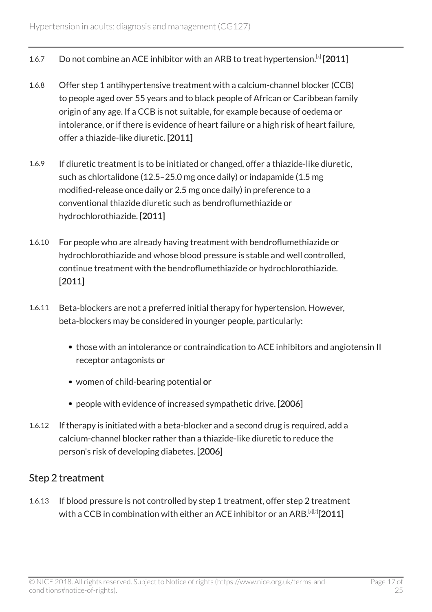- 1.[6](#page-19-1).7 Do not combine an ACE inhibitor with an ARB to treat hypertension.<sup>[4]</sup> [2011]
- 1.6.8 Offer step 1 antihypertensive treatment with a calcium-channel blocker (CCB) to people aged over 55 years and to black people of African or Caribbean family origin of any age. If a CCB is not suitable, for example because of oedema or intolerance, or if there is evidence of heart failure or a high risk of heart failure, offer a thiazide-like diuretic. [2011]
- 1.6.9 If diuretic treatment is to be initiated or changed, offer a thiazide-like diuretic, such as chlortalidone (12.5–25.0 mg once daily) or indapamide (1.5 mg modified-release once daily or 2.5 mg once daily) in preference to a conventional thiazide diuretic such as bendroflumethiazide or hydrochlorothiazide. [2011]
- 1.6.10 For people who are already having treatment with bendroflumethiazide or hydrochlorothiazide and whose blood pressure is stable and well controlled, continue treatment with the bendroflumethiazide or hydrochlorothiazide. [2011]
- 1.6.11 Beta-blockers are not a preferred initial therapy for hypertension. However, beta-blockers may be considered in younger people, particularly:
	- those with an intolerance or contraindication to ACE inhibitors and angiotensin II receptor antagonists or
	- women of child-bearing potential or
	- people with evidence of increased sympathetic drive. [2006]
- 1.6.12 If therapy is initiated with a beta-blocker and a second drug is required, add a calcium-channel blocker rather than a thiazide-like diuretic to reduce the person's risk of developing diabetes. [2006]

#### Step 2 treatment

<span id="page-16-0"></span>1.6.13 If blood pressure is not controlled by step 1 treatment, offer step 2 treatment with a CCB in combination with either an ACE inhibitor or an ARB. $^{\text{\tiny{[.][.]}}}[2011]$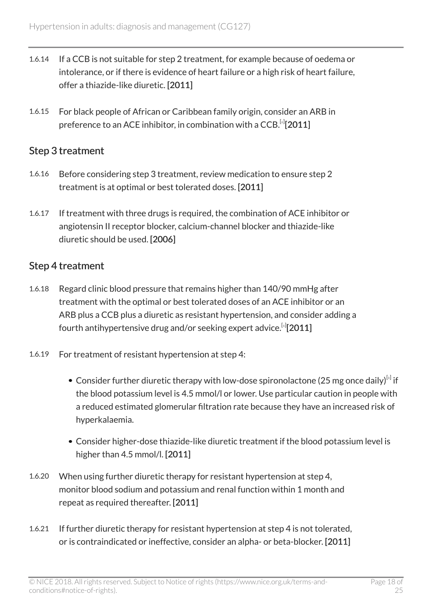- 1.6.14 If a CCB is not suitable for step 2 treatment, for example because of oedema or intolerance, or if there is evidence of heart failure or a high risk of heart failure, offer a thiazide-like diuretic. [2011]
- 1.6.15 For black people of African or Caribbean family origin, consider an ARB in preference to an ACE inhibitor, in combination with a CCB.  $^{[s]}$  [2011]

#### Step 3 treatment

- 1.6.16 Before considering step 3 treatment, review medication to ensure step 2 treatment is at optimal or best tolerated doses. [2011]
- 1.6.17 If treatment with three drugs is required, the combination of ACE inhibitor or angiotensin II receptor blocker, calcium-channel blocker and thiazide-like diuretic should be used. [2006]

#### Step 4 treatment

- 1.6.18 Regard clinic blood pressure that remains higher than 140/90 mmHg after treatment with the optimal or best tolerated doses of an ACE inhibitor or an ARB plus a CCB plus a diuretic as resistant hypertension, and consider adding a fourth antihypertensive drug and/or seeking expert advice. $^{\left[ 6\right] }$  $^{\left[ 6\right] }$  $^{\left[ 6\right] }$ [2011]
- <span id="page-17-0"></span>1.6.19 For treatment of resistant hypertension at step 4:
	- Consider further diuretic therapy with low-dose spironolactone (25 mg once daily) $^{[s]}$  if the blood potassium level is 4.5 mmol/l or lower. Use particular caution in people with a reduced estimated glomerular filtration rate because they have an increased risk of hyperkalaemia.
	- Consider higher-dose thiazide-like diuretic treatment if the blood potassium level is higher than 4.5 mmol/l. [2011]
- 1.6.20 When using further diuretic therapy for resistant hypertension at step 4, monitor blood sodium and potassium and renal function within 1 month and repeat as required thereafter. [2011]
- 1.6.21 If further diuretic therapy for resistant hypertension at step 4 is not tolerated, or is contraindicated or ineffective, consider an alpha- or beta-blocker. [2011]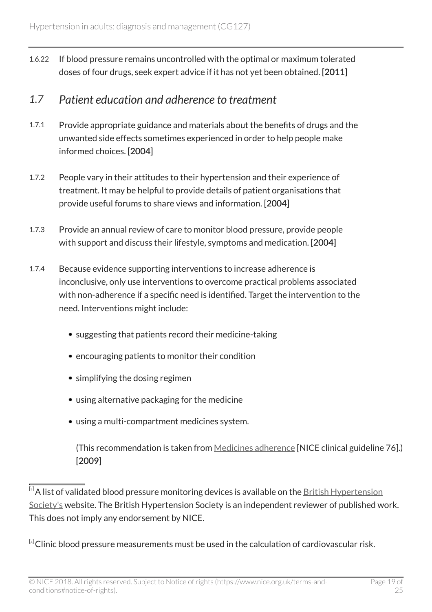1.6.22 If blood pressure remains uncontrolled with the optimal or maximum tolerated doses of four drugs, seek expert advice if it has not yet been obtained. [2011]

#### <span id="page-18-0"></span>*1.7 Patient education and adherence to treatment*

- 1.7.1 Provide appropriate guidance and materials about the benefits of drugs and the unwanted side effects sometimes experienced in order to help people make informed choices. [2004]
- 1.7.2 People vary in their attitudes to their hypertension and their experience of treatment. It may be helpful to provide details of patient organisations that provide useful forums to share views and information. [2004]
- 1.7.3 Provide an annual review of care to monitor blood pressure, provide people with support and discuss their lifestyle, symptoms and medication. [2004]
- 1.7.4 Because evidence supporting interventions to increase adherence is inconclusive, only use interventions to overcome practical problems associated with non-adherence if a specific need is identified. Target the intervention to the need. Interventions might include:
	- suggesting that patients record their medicine-taking
	- encouraging patients to monitor their condition
	- simplifying the dosing regimen
	- using alternative packaging for the medicine
	- using a multi-compartment medicines system.

(This recommendation is taken from [Medicines adherence](http://www.nice.org.uk/guidance/cg76) [NICE clinical guideline 76].) [2009]

<span id="page-18-1"></span> $\overline{[3]}$  $\overline{[3]}$  $\overline{[3]}$ A list of validated blood pressure monitoring devices is available on the [British Hypertension](http://www.bhsoc.org/) [Society's](http://www.bhsoc.org/) website. The British Hypertension Society is an independent reviewer of published work. This does not imply any endorsement by NICE.

<span id="page-18-2"></span> $[4]$  $[4]$  $[4]$ Clinic blood pressure measurements must be used in the calculation of cardiovascular risk.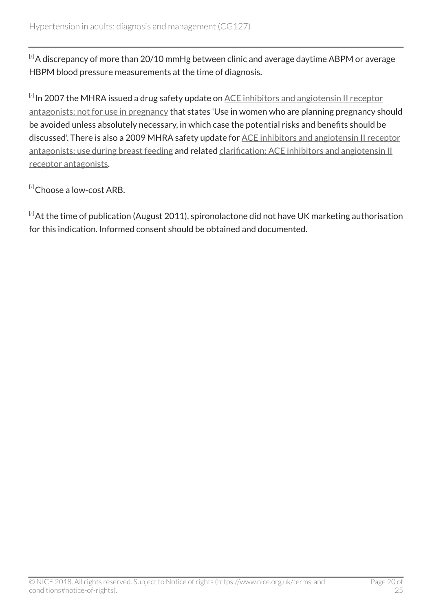<span id="page-19-0"></span> $[5]$  $[5]$  $[5]$ A discrepancy of more than 20/10 mmHg between clinic and average daytime ABPM or average HBPM blood pressure measurements at the time of diagnosis.

<span id="page-19-1"></span> $^{\text{\tiny{[6]}}}$  $^{\text{\tiny{[6]}}}$  $^{\text{\tiny{[6]}}}$ In 2007 the MHRA issued a drug safety update on <u>[ACE inhibitors and angiotensin II receptor](https://www.gov.uk/drug-safety-update/ace-inhibitors-and-angiotensin-ii-receptor-antagonists-not-for-use-in-pregnancy)</u> [antagonists: not for use in pregnancy](https://www.gov.uk/drug-safety-update/ace-inhibitors-and-angiotensin-ii-receptor-antagonists-not-for-use-in-pregnancy) that states 'Use in women who are planning pregnancy should be avoided unless absolutely necessary, in which case the potential risks and benefits should be discussed'. There is also a 2009 MHRA safety update for [ACE inhibitors and angiotensin II receptor](https://www.gov.uk/drug-safety-update/ace-inhibitors-and-angiotensin-ii-receptor-antagonists-recommendations-on-how-to-use-for-breastfeeding) [antagonists: use during breast feeding](https://www.gov.uk/drug-safety-update/ace-inhibitors-and-angiotensin-ii-receptor-antagonists-recommendations-on-how-to-use-for-breastfeeding) and related [clarification: ACE inhibitors and angiotensin II](https://www.gov.uk/drug-safety-update/clarification-ace-inhibitors-and-angiotensin-ii-receptor-antagonists) [receptor antagonists.](https://www.gov.uk/drug-safety-update/clarification-ace-inhibitors-and-angiotensin-ii-receptor-antagonists)

<span id="page-19-2"></span> $[7]$  $[7]$  $[7]$ Choose a low-cost ARB.

<span id="page-19-3"></span> $[8]$  $[8]$  $[8]$ At the time of publication (August 2011), spironolactone did not have UK marketing authorisation for this indication. Informed consent should be obtained and documented.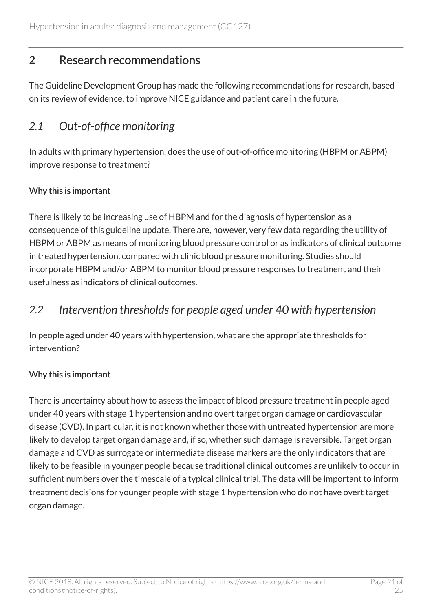# <span id="page-20-0"></span>2 Research recommendations

The Guideline Development Group has made the following recommendations for research, based on its review of evidence, to improve NICE guidance and patient care in the future.

# <span id="page-20-1"></span>*2.1 Out-of-office monitoring*

In adults with primary hypertension, does the use of out-of-office monitoring (HBPM or ABPM) improve response to treatment?

#### Why this is important

There is likely to be increasing use of HBPM and for the diagnosis of hypertension as a consequence of this guideline update. There are, however, very few data regarding the utility of HBPM or ABPM as means of monitoring blood pressure control or as indicators of clinical outcome in treated hypertension, compared with clinic blood pressure monitoring. Studies should incorporate HBPM and/or ABPM to monitor blood pressure responses to treatment and their usefulness as indicators of clinical outcomes.

### <span id="page-20-2"></span>*2.2 Intervention thresholds for people aged under 40 with hypertension*

In people aged under 40 years with hypertension, what are the appropriate thresholds for intervention?

#### Why this is important

There is uncertainty about how to assess the impact of blood pressure treatment in people aged under 40 years with stage 1 hypertension and no overt target organ damage or cardiovascular disease (CVD). In particular, it is not known whether those with untreated hypertension are more likely to develop target organ damage and, if so, whether such damage is reversible. Target organ damage and CVD as surrogate or intermediate disease markers are the only indicators that are likely to be feasible in younger people because traditional clinical outcomes are unlikely to occur in sufficient numbers over the timescale of a typical clinical trial. The data will be important to inform treatment decisions for younger people with stage 1 hypertension who do not have overt target organ damage.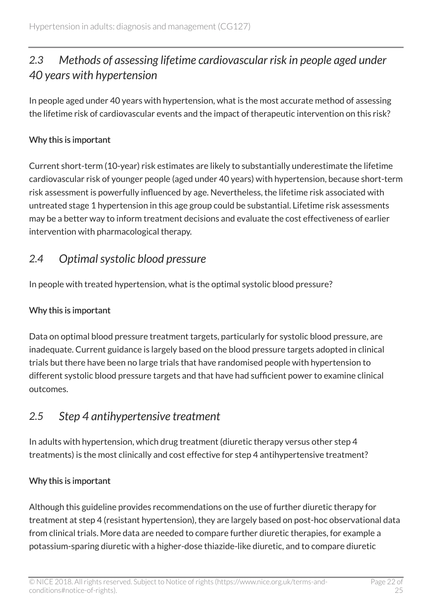# <span id="page-21-0"></span>*2.3 Methods of assessing lifetime cardiovascular risk in people aged under 40 years with hypertension*

In people aged under 40 years with hypertension, what is the most accurate method of assessing the lifetime risk of cardiovascular events and the impact of therapeutic intervention on this risk?

#### Why this is important

Current short-term (10-year) risk estimates are likely to substantially underestimate the lifetime cardiovascular risk of younger people (aged under 40 years) with hypertension, because short-term risk assessment is powerfully influenced by age. Nevertheless, the lifetime risk associated with untreated stage 1 hypertension in this age group could be substantial. Lifetime risk assessments may be a better way to inform treatment decisions and evaluate the cost effectiveness of earlier intervention with pharmacological therapy.

# <span id="page-21-1"></span>*2.4 Optimal systolic blood pressure*

In people with treated hypertension, what is the optimal systolic blood pressure?

#### Why this is important

Data on optimal blood pressure treatment targets, particularly for systolic blood pressure, are inadequate. Current guidance is largely based on the blood pressure targets adopted in clinical trials but there have been no large trials that have randomised people with hypertension to different systolic blood pressure targets and that have had sufficient power to examine clinical outcomes.

# <span id="page-21-2"></span>*2.5 Step 4 antihypertensive treatment*

In adults with hypertension, which drug treatment (diuretic therapy versus other step 4 treatments) is the most clinically and cost effective for step 4 antihypertensive treatment?

#### Why this is important

Although this guideline provides recommendations on the use of further diuretic therapy for treatment at step 4 (resistant hypertension), they are largely based on post-hoc observational data from clinical trials. More data are needed to compare further diuretic therapies, for example a potassium-sparing diuretic with a higher-dose thiazide-like diuretic, and to compare diuretic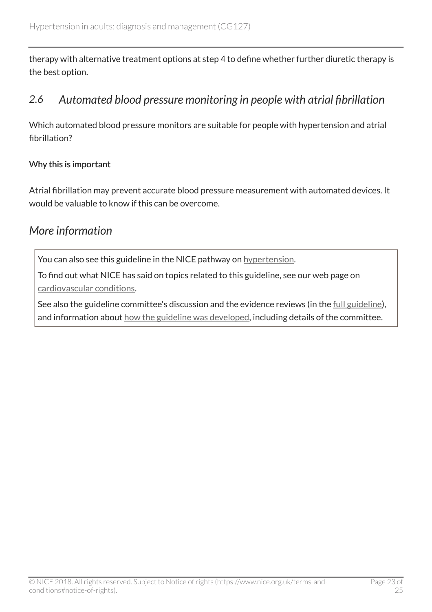therapy with alternative treatment options at step 4 to define whether further diuretic therapy is the best option.

### <span id="page-22-0"></span>*2.6 Automated blood pressure monitoring in people with atrial fibrillation*

Which automated blood pressure monitors are suitable for people with hypertension and atrial fibrillation?

#### Why this is important

Atrial fibrillation may prevent accurate blood pressure measurement with automated devices. It would be valuable to know if this can be overcome.

# <span id="page-22-1"></span>*More information*

You can also see this guideline in the NICE pathway on [hypertension.](https://pathways.nice.org.uk/pathways/hypertension)

To find out what NICE has said on topics related to this guideline, see our web page on [cardiovascular conditions.](https://www.nice.org.uk/guidance/conditions-and-diseases/cardiovascular-conditions)

See also the guideline committee's discussion and the evidence reviews (in the [full guideline\)](http://www.nice.org.uk/Guidance/CG127/evidence), and information about [how the guideline was developed](http://www.nice.org.uk/Guidance/CG127/documents), including details of the committee.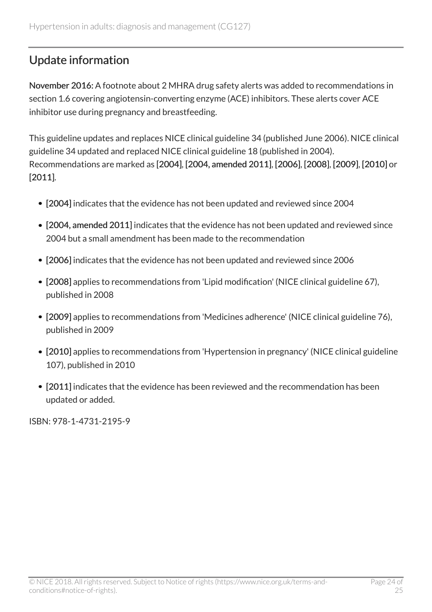# <span id="page-23-0"></span>Update information

November 2016: A footnote about 2 MHRA drug safety alerts was added to recommendations in section 1.6 covering angiotensin-converting enzyme (ACE) inhibitors. These alerts cover ACE inhibitor use during pregnancy and breastfeeding.

This guideline updates and replaces NICE clinical guideline 34 (published June 2006). NICE clinical guideline 34 updated and replaced NICE clinical guideline 18 (published in 2004). Recommendations are marked as [2004], [2004, amended 2011], [2006], [2008], [2009], [2010] or [2011].

- [2004] indicates that the evidence has not been updated and reviewed since 2004
- [2004, amended 2011] indicates that the evidence has not been updated and reviewed since 2004 but a small amendment has been made to the recommendation
- [2006] indicates that the evidence has not been updated and reviewed since 2006
- [2008] applies to recommendations from 'Lipid modification' (NICE clinical guideline 67), published in 2008
- [2009] applies to recommendations from 'Medicines adherence' (NICE clinical guideline 76), published in 2009
- [2010] applies to recommendations from 'Hypertension in pregnancy' (NICE clinical guideline 107), published in 2010
- [2011] indicates that the evidence has been reviewed and the recommendation has been updated or added.

ISBN: 978-1-4731-2195-9